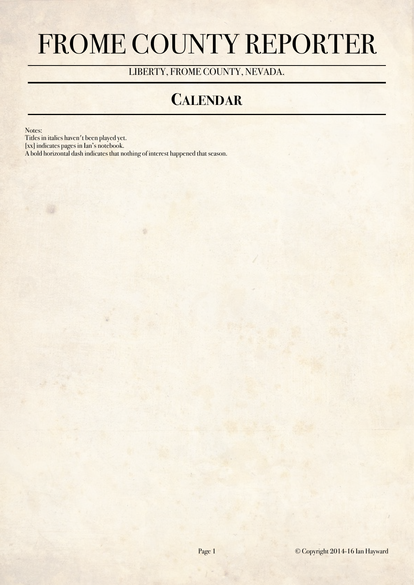# FROME COUNTY REPORTER

LIBERTY, FROME COUNTY, NEVADA.

#### **CALENDAR**

Notes:

Titles in italics haven't been played yet.

[xx] indicates pages in Ian's notebook.

A bold horizontal dash indicates that nothing of interest happened that season.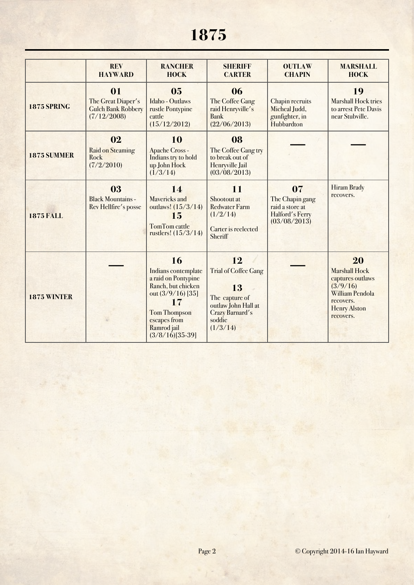## **1875**

|                    | <b>REV</b><br><b>HAYWARD</b>                                         | <b>RANCHER</b><br><b>HOCK</b>                                                                                                                                                  | <b>SHERIFF</b><br><b>CARTER</b>                                                                                           | <b>OUTLAW</b><br><b>CHAPIN</b>                                              | <b>MARSHALL</b><br><b>HOCK</b>                                                                                                        |
|--------------------|----------------------------------------------------------------------|--------------------------------------------------------------------------------------------------------------------------------------------------------------------------------|---------------------------------------------------------------------------------------------------------------------------|-----------------------------------------------------------------------------|---------------------------------------------------------------------------------------------------------------------------------------|
| <b>1875 SPRING</b> | 01<br>The Great Diaper's<br><b>Gulch Bank Robbery</b><br>(7/12/2008) | 0 <sub>5</sub><br><b>Idaho</b> - Outlaws<br>rustle Pontypine<br>cattle<br>(15/12/2012)                                                                                         | 06<br>The Coffee Gang<br>raid Henryville's<br><b>Bank</b><br>(22/06/2013)                                                 | Chapin recruits<br>Micheal Judd,<br>gunfighter, in<br>Hubbardton            | 19<br><b>Marshall Hock tries</b><br>to arrest Pete Davis<br>near Stubville.                                                           |
| 1875 SUMMER        | 02<br><b>Raid on Steaming</b><br>Rock<br>(7/2/2010)                  | 10<br><b>Apache Cross -</b><br>Indians try to hold<br>up John Hock<br>(1/3/14)                                                                                                 | 08<br>The Coffee Gang try<br>to break out of<br>Henryville Jail<br>(03/08/2013)                                           |                                                                             |                                                                                                                                       |
| <b>1875 FALL</b>   | 03<br><b>Black Mountains -</b><br>Rev Hellfire's posse               | 14<br><b>Mavericks and</b><br>outlaws! (15/3/14)<br>15<br><b>TomTom cattle</b><br>rustlers! (15/3/14)                                                                          | 11<br>Shootout at<br><b>Redwater Farm</b><br>(1/2/14)<br>Carter is reelected<br>Sheriff                                   | 07<br>The Chapin gang<br>raid a store at<br>Halford's Ferry<br>(03/08/2013) | <b>Hiram Brady</b><br>recovers.                                                                                                       |
| <b>1875 WINTER</b> |                                                                      | 16<br>Indians contemplate<br>a raid on Pontypine<br>Ranch, but chicken<br>out $(3/9/16)$ [35]<br>17<br><b>Tom Thompson</b><br>escapes from<br>Ramrod jail<br>$(3/8/16)[35-39]$ | 12<br><b>Trial of Coffee Gang</b><br>13<br>The capture of<br>outlaw John Hall at<br>Crazy Barnard's<br>soddie<br>(1/3/14) |                                                                             | 20<br><b>Marshall Hock</b><br>captures outlaws<br>(3/9/16)<br><b>William Pendola</b><br>recovers.<br><b>Henry Alston</b><br>recovers. |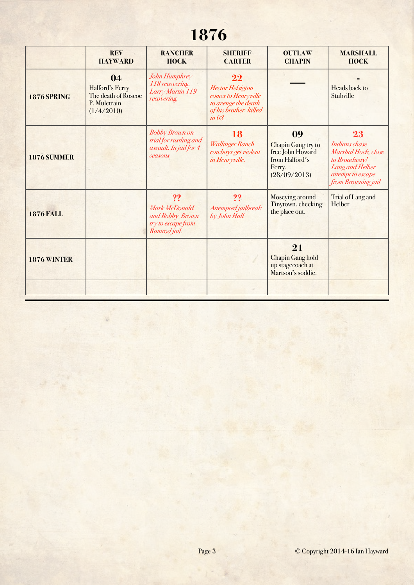## **1876**

|                    | <b>REV</b><br><b>HAYWARD</b>                                               | <b>RANCHER</b><br><b>HOCK</b>                                                               | <b>SHERIFF</b><br><b>CARTER</b>                                                                                | <b>OUTLAW</b><br><b>CHAPIN</b>                                                           | <b>MARSHALL</b><br><b>HOCK</b>                                                                                           |
|--------------------|----------------------------------------------------------------------------|---------------------------------------------------------------------------------------------|----------------------------------------------------------------------------------------------------------------|------------------------------------------------------------------------------------------|--------------------------------------------------------------------------------------------------------------------------|
| <b>1876 SPRING</b> | 04<br>Halford's Ferry<br>The death of Roscoe<br>P. Muletrain<br>(1/4/2010) | John Humphrey<br>118 recovering.<br>Larry Martin 119<br>recovering,                         | 22<br><b>Hector Helsigton</b><br>comes to Henryville<br>to avenge the death<br>of his brother, killed<br>in 08 |                                                                                          | Heads back to<br>Stubville                                                                                               |
| 1876 SUMMER        |                                                                            | <b>Bobby Brown on</b><br>trial for rustling and<br>assault. In jail for 4<br><b>seasons</b> | 18<br><b>Wallinger Ranch</b><br>cowboys get violent<br>in Henryville.                                          | 09<br>Chapin Gang try to<br>free John Howard<br>from Halford's<br>Ferry.<br>(28/09/2013) | 23<br>Indians chase<br>Marshal Hock, close<br>to Broadway!<br>Lang and Helber<br>attempt to escape<br>from Browning jail |
| <b>1876 FALL</b>   |                                                                            | ??<br>Mark McDonald<br>and Bobby Brown<br>try to escape from<br>Ramrod jail.                | ??<br>Attempted jailbreak<br>by John Hall                                                                      | Moseying around<br>Tinytown, checking<br>the place out.                                  | Trial of Lang and<br>Helber                                                                                              |
| 1876 WINTER        |                                                                            |                                                                                             |                                                                                                                | 21<br><b>Chapin Gang hold</b><br>up stagecoach at<br>Martson's soddie.                   |                                                                                                                          |
|                    |                                                                            |                                                                                             |                                                                                                                |                                                                                          |                                                                                                                          |